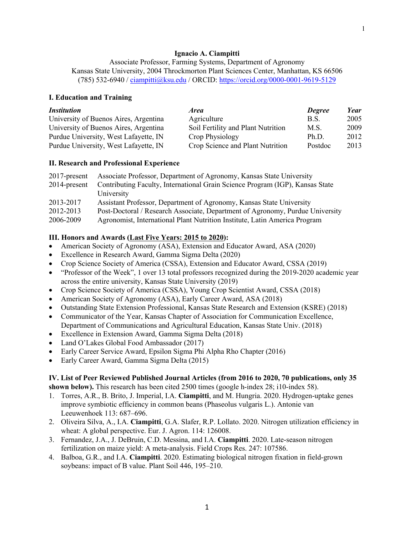## **Ignacio A. Ciampitti**

Associate Professor, Farming Systems, Department of Agronomy Kansas State University, 2004 Throckmorton Plant Sciences Center, Manhattan, KS 66506 (785) 532-6940 / ciampitti@ksu.edu / ORCID: https://orcid.org/0000-0001-9619-5129

### **I. Education and Training**

| <i><b>Institution</b></i>             | <i>Area</i>                        | <b>Degree</b> | <b>Year</b> |
|---------------------------------------|------------------------------------|---------------|-------------|
| University of Buenos Aires, Argentina | Agriculture                        | B.S.          | 2005        |
| University of Buenos Aires, Argentina | Soil Fertility and Plant Nutrition | M.S.          | 2009        |
| Purdue University, West Lafayette, IN | Crop Physiology                    | Ph.D.         | 2012        |
| Purdue University, West Lafayette, IN | Crop Science and Plant Nutrition   | Postdoc       | 2013        |

#### **II. Research and Professional Experience**

|                 | 2017-present Associate Professor, Department of Agronomy, Kansas State University |
|-----------------|-----------------------------------------------------------------------------------|
| $2014$ -present | Contributing Faculty, International Grain Science Program (IGP), Kansas State     |
|                 | University                                                                        |
| 2013-2017       | Assistant Professor, Department of Agronomy, Kansas State University              |
| 2012-2013       | Post-Doctoral / Research Associate, Department of Agronomy, Purdue University     |
| 2006-2009       | Agronomist, International Plant Nutrition Institute, Latin America Program        |

# **III. Honors and Awards (Last Five Years: 2015 to 2020):**

- American Society of Agronomy (ASA), Extension and Educator Award, ASA (2020)
- Excellence in Research Award, Gamma Sigma Delta (2020)
- Crop Science Society of America (CSSA), Extension and Educator Award, CSSA (2019)
- "Professor of the Week", 1 over 13 total professors recognized during the 2019-2020 academic year across the entire university, Kansas State University (2019)
- Crop Science Society of America (CSSA), Young Crop Scientist Award, CSSA (2018)
- American Society of Agronomy (ASA), Early Career Award, ASA (2018)
- Outstanding State Extension Professional, Kansas State Research and Extension (KSRE) (2018)
- Communicator of the Year, Kansas Chapter of Association for Communication Excellence, Department of Communications and Agricultural Education, Kansas State Univ. (2018)
- Excellence in Extension Award, Gamma Sigma Delta (2018)
- Land O'Lakes Global Food Ambassador (2017)
- Early Career Service Award, Epsilon Sigma Phi Alpha Rho Chapter (2016)
- Early Career Award, Gamma Sigma Delta (2015)

### **IV. List of Peer Reviewed Published Journal Articles (from 2016 to 2020, 70 publications, only 35 shown below).** This research has been cited 2500 times (google h-index 28; i10-index 58).

- 1. Torres, A.R., B. Brito, J. Imperial, I.A. **Ciampitti**, and M. Hungria. 2020. Hydrogen-uptake genes improve symbiotic efficiency in common beans (Phaseolus vulgaris L.). Antonie van Leeuwenhoek 113: 687–696.
- 2. Oliveira Silva, A., I.A. **Ciampitti**, G.A. Slafer, R.P. Lollato. 2020. Nitrogen utilization efficiency in wheat: A global perspective. Eur. J. Agron. 114: 126008.
- 3. Fernandez, J.A., J. DeBruin, C.D. Messina, and I.A. **Ciampitti**. 2020. Late-season nitrogen fertilization on maize yield: A meta-analysis. Field Crops Res. 247: 107586.
- 4. Balboa, G.R., and I.A. **Ciampitti**. 2020. Estimating biological nitrogen fixation in field-grown soybeans: impact of B value. Plant Soil 446, 195–210.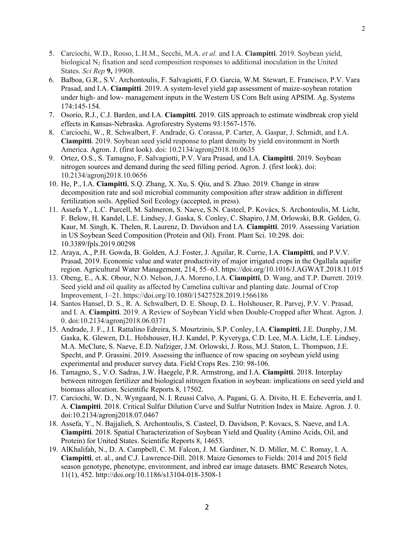- 5. Carciochi, W.D., Rosso, L.H.M., Secchi, M.A. *et al.* and I.A. **Ciampitti**. 2019. Soybean yield, biological  $N_2$  fixation and seed composition responses to additional inoculation in the United States. *Sci Rep* **9,** 19908.
- 6. Balboa, G.R., S.V. Archontoulis, F. Salvagiotti, F.O. Garcia, W.M. Stewart, E. Francisco, P.V. Vara Prasad, and I.A. **Ciampitti**. 2019. A system-level yield gap assessment of maize-soybean rotation under high- and low- management inputs in the Western US Corn Belt using APSIM. Ag. Systems 174:145-154.
- 7. Osorio, R.J., C.J. Barden, and I.A. **Ciampitti**. 2019. GIS approach to estimate windbreak crop yield effects in Kansas-Nebraska. Agroforestry Systems 93:1567-1576.
- 8. Carciochi, W., R. Schwalbert, F. Andrade, G. Corassa, P. Carter, A. Gaspar, J. Schmidt, and I.A. **Ciampitti**. 2019. Soybean seed yield response to plant density by yield environment in North America. Agron. J. (first look). doi: 10.2134/agronj2018.10.0635
- 9. Ortez, O.S., S. Tamagno, F. Salvagiotti, P.V. Vara Prasad, and I.A. **Ciampitti**. 2019. Soybean nitrogen sources and demand during the seed filling period. Agron. J. (first look). doi: 10.2134/agronj2018.10.0656
- 10. He, P., I.A. **Ciampitti**, S.Q. Zhang, X. Xu, S. Qiu, and S. Zhao. 2019. Change in straw decomposition rate and soil microbial community composition after straw addition in different fertilization soils. Applied Soil Ecology (accepted, in press).
- 11. Assefa Y., L.C. Purcell, M. Salmeron, S. Naeve, S.N. Casteel, P. Kovács, S. Archontoulis, M. Licht, F. Below, H. Kandel, L.E. Lindsey, J. Gaska, S. Conley, C. Shapiro, J.M. Orlowski, B.R. Golden, G. Kaur, M. Singh, K. Thelen, R. Laurenz, D. Davidson and I.A. **Ciampitti**. 2019. Assessing Variation in US Soybean Seed Composition (Protein and Oil). Front. Plant Sci. 10:298. doi: 10.3389/fpls.2019.00298
- 12. Araya, A., P.H. Gowda, B. Golden, A.J. Foster, J. Aguilar, R. Currie, I.A. **Ciampitti**, and P.V.V. Prasad, 2019. Economic value and water productivity of major irrigated crops in the Ogallala aquifer region. Agricultural Water Management, 214, 55–63. https://doi.org/10.1016/J.AGWAT.2018.11.015
- 13. Obeng, E., A.K. Obour, N.O. Nelson, J.A. Moreno, I.A. **Ciampitti**, D. Wang, and T.P. Durrett. 2019. Seed yield and oil quality as affected by Camelina cultivar and planting date. Journal of Crop Improvement, 1–21. https://doi.org/10.1080/15427528.2019.1566186
- 14. Santos Hansel, D. S., R. A. Schwalbert, D. E. Shoup, D. L. Holshouser, R. Parvej, P.V. V. Prasad, and I. A. **Ciampitti**. 2019. A Review of Soybean Yield when Double-Cropped after Wheat. Agron. J. 0. doi:10.2134/agronj2018.06.0371
- 15. Andrade, J. F., J.I. Rattalino Edreira, S. Mourtzinis, S.P. Conley, I.A. **Ciampitti**, J.E. Dunphy, J.M. Gaska, K. Glewen, D.L. Holshouser, H.J. Kandel, P. Kyveryga, C.D. Lee, M.A. Licht, L.E. Lindsey, M.A. McClure, S. Naeve, E.D. Nafziger, J.M. Orlowski, J. Ross, M.J. Staton, L. Thompson, J.E. Specht, and P. Grassini. 2019. Assessing the influence of row spacing on soybean yield using experimental and producer survey data. Field Crops Res. 230: 98-106.
- 16. Tamagno, S., V.O. Sadras, J.W. Haegele, P.R. Armstrong, and I.A. **Ciampitti**. 2018. Interplay between nitrogen fertilizer and biological nitrogen fixation in soybean: implications on seed yield and biomass allocation. Scientific Reports 8, 17502.
- 17. Carciochi, W. D., N. Wyngaard, N. I. Reussi Calvo, A. Pagani, G. A. Divito, H. E. Echeverría, and I. A. **Ciampitti**. 2018. Critical Sulfur Dilution Curve and Sulfur Nutrition Index in Maize. Agron. J. 0. doi:10.2134/agronj2018.07.0467
- 18. Assefa, Y., N. Bajjalieh, S. Archontoulis, S. Casteel, D. Davidson, P. Kovacs, S. Naeve, and I.A. **Ciampitti**. 2018. Spatial Characterization of Soybean Yield and Quality (Amino Acids, Oil, and Protein) for United States. Scientific Reports 8, 14653.
- 19. AlKhalifah, N., D. A. Campbell, C. M. Falcon, J. M. Gardiner, N. D. Miller, M. C. Romay, I. A. **Ciampitti**, et. al., and C.J. Lawrence-Dill. 2018. Maize Genomes to Fields: 2014 and 2015 field season genotype, phenotype, environment, and inbred ear image datasets. BMC Research Notes, 11(1), 452. http://doi.org/10.1186/s13104-018-3508-1